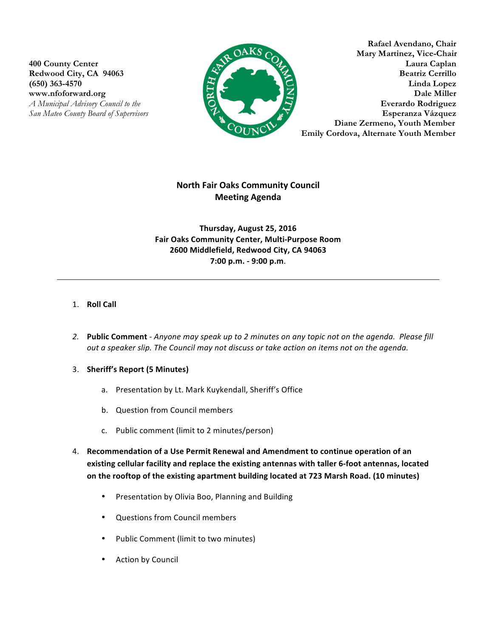

**Rafael Avendano, Chair AKS** CALL Mary Martinez, Vice-Chair **400 County Center Laura Caplan** Redwood City, CA 94063 Beatriz Cerrillo **(650) 363-4570 Linda Lopez EXECUTE: Dale Miller Dale Miller** *A Municipal Advisory Council to the* **Everardo Rodriguez Everardo Rodriguez** *San Mateo County Board of Supervisors* **Esperanza Vázquez** **Diane Zermeno, Youth Member Emily Cordova, Alternate Youth Member** 

# **North Fair Oaks Community Council Meeting Agenda**

**Thursday, August 25, 2016 Fair Oaks Community Center, Multi-Purpose Room 2600 Middlefield, Redwood City, CA 94063 7:00 p.m. - 9:00 p.m**.

### 1. **Roll Call**

- 2. Public Comment Anyone may speak up to 2 minutes on any topic not on the agenda. Please fill *out a speaker slip. The Council may not discuss or take action on items not on the agenda.*
- 3. **Sheriff's Report (5 Minutes)**
	- a. Presentation by Lt. Mark Kuykendall, Sheriff's Office
	- b. Question from Council members
	- c. Public comment (limit to 2 minutes/person)
- 4. Recommendation of a Use Permit Renewal and Amendment to continue operation of an existing cellular facility and replace the existing antennas with taller 6-foot antennas, located on the rooftop of the existing apartment building located at 723 Marsh Road. (10 minutes)
	- Presentation by Olivia Boo, Planning and Building
	- Questions from Council members
	- Public Comment (limit to two minutes)
	- Action by Council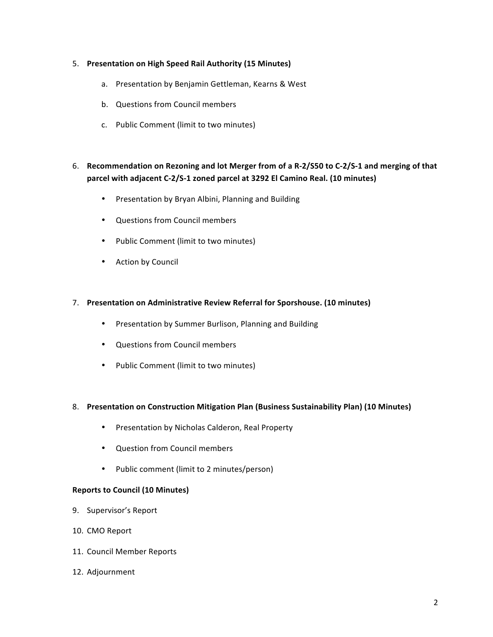### 5. **Presentation on High Speed Rail Authority (15 Minutes)**

- a. Presentation by Benjamin Gettleman, Kearns & West
- b. Questions from Council members
- c. Public Comment (limit to two minutes)

## 6. Recommendation on Rezoning and lot Merger from of a R-2/S50 to C-2/S-1 and merging of that **parcel with adjacent C-2/S-1 zoned parcel at 3292 El Camino Real. (10 minutes)**

- Presentation by Bryan Albini, Planning and Building
- Questions from Council members
- Public Comment (limit to two minutes)
- Action by Council

#### 7. Presentation on Administrative Review Referral for Sporshouse. (10 minutes)

- Presentation by Summer Burlison, Planning and Building
- Ouestions from Council members
- Public Comment (limit to two minutes)

#### 8. Presentation on Construction Mitigation Plan (Business Sustainability Plan) (10 Minutes)

- Presentation by Nicholas Calderon, Real Property
- Question from Council members
- Public comment (limit to 2 minutes/person)

#### **Reports to Council (10 Minutes)**

- 9. Supervisor's Report
- 10. CMO Report
- 11. Council Member Reports
- 12. Adjournment